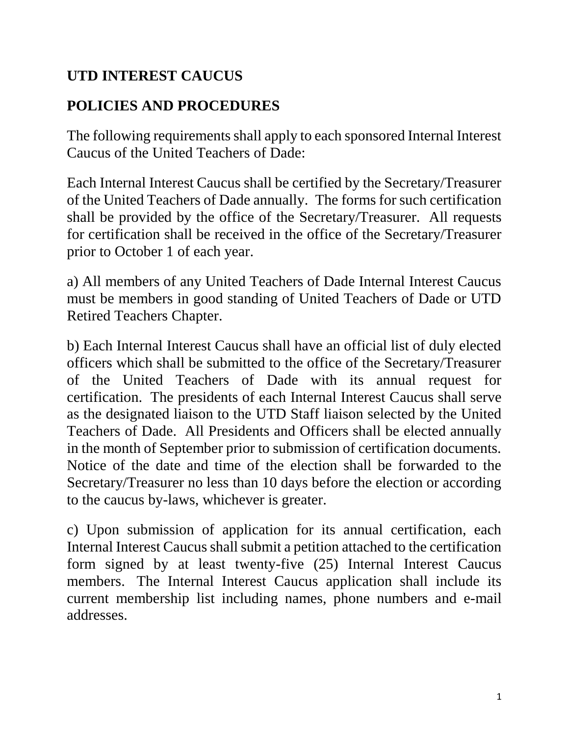## **UTD INTEREST CAUCUS**

## **POLICIES AND PROCEDURES**

The following requirements shall apply to each sponsored Internal Interest Caucus of the United Teachers of Dade:

Each Internal Interest Caucus shall be certified by the Secretary/Treasurer of the United Teachers of Dade annually. The forms for such certification shall be provided by the office of the Secretary/Treasurer. All requests for certification shall be received in the office of the Secretary/Treasurer prior to October 1 of each year.

a) All members of any United Teachers of Dade Internal Interest Caucus must be members in good standing of United Teachers of Dade or UTD Retired Teachers Chapter.

b) Each Internal Interest Caucus shall have an official list of duly elected officers which shall be submitted to the office of the Secretary/Treasurer of the United Teachers of Dade with its annual request for certification. The presidents of each Internal Interest Caucus shall serve as the designated liaison to the UTD Staff liaison selected by the United Teachers of Dade. All Presidents and Officers shall be elected annually in the month of September prior to submission of certification documents. Notice of the date and time of the election shall be forwarded to the Secretary/Treasurer no less than 10 days before the election or according to the caucus by-laws, whichever is greater.

c) Upon submission of application for its annual certification, each Internal Interest Caucus shall submit a petition attached to the certification form signed by at least twenty-five (25) Internal Interest Caucus members. The Internal Interest Caucus application shall include its current membership list including names, phone numbers and e-mail addresses.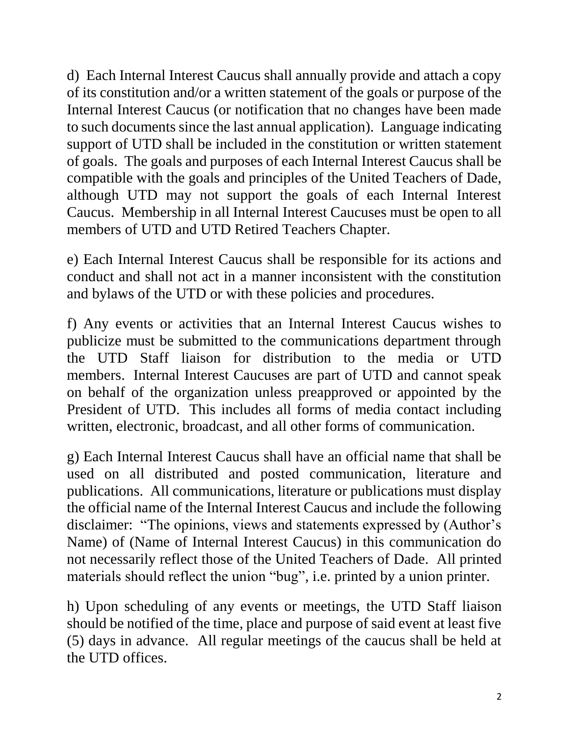d) Each Internal Interest Caucus shall annually provide and attach a copy of its constitution and/or a written statement of the goals or purpose of the Internal Interest Caucus (or notification that no changes have been made to such documents since the last annual application). Language indicating support of UTD shall be included in the constitution or written statement of goals. The goals and purposes of each Internal Interest Caucus shall be compatible with the goals and principles of the United Teachers of Dade, although UTD may not support the goals of each Internal Interest Caucus. Membership in all Internal Interest Caucuses must be open to all members of UTD and UTD Retired Teachers Chapter.

e) Each Internal Interest Caucus shall be responsible for its actions and conduct and shall not act in a manner inconsistent with the constitution and bylaws of the UTD or with these policies and procedures.

f) Any events or activities that an Internal Interest Caucus wishes to publicize must be submitted to the communications department through the UTD Staff liaison for distribution to the media or UTD members. Internal Interest Caucuses are part of UTD and cannot speak on behalf of the organization unless preapproved or appointed by the President of UTD. This includes all forms of media contact including written, electronic, broadcast, and all other forms of communication.

g) Each Internal Interest Caucus shall have an official name that shall be used on all distributed and posted communication, literature and publications. All communications, literature or publications must display the official name of the Internal Interest Caucus and include the following disclaimer: "The opinions, views and statements expressed by (Author's Name) of (Name of Internal Interest Caucus) in this communication do not necessarily reflect those of the United Teachers of Dade. All printed materials should reflect the union "bug", i.e. printed by a union printer.

h) Upon scheduling of any events or meetings, the UTD Staff liaison should be notified of the time, place and purpose of said event at least five (5) days in advance. All regular meetings of the caucus shall be held at the UTD offices.